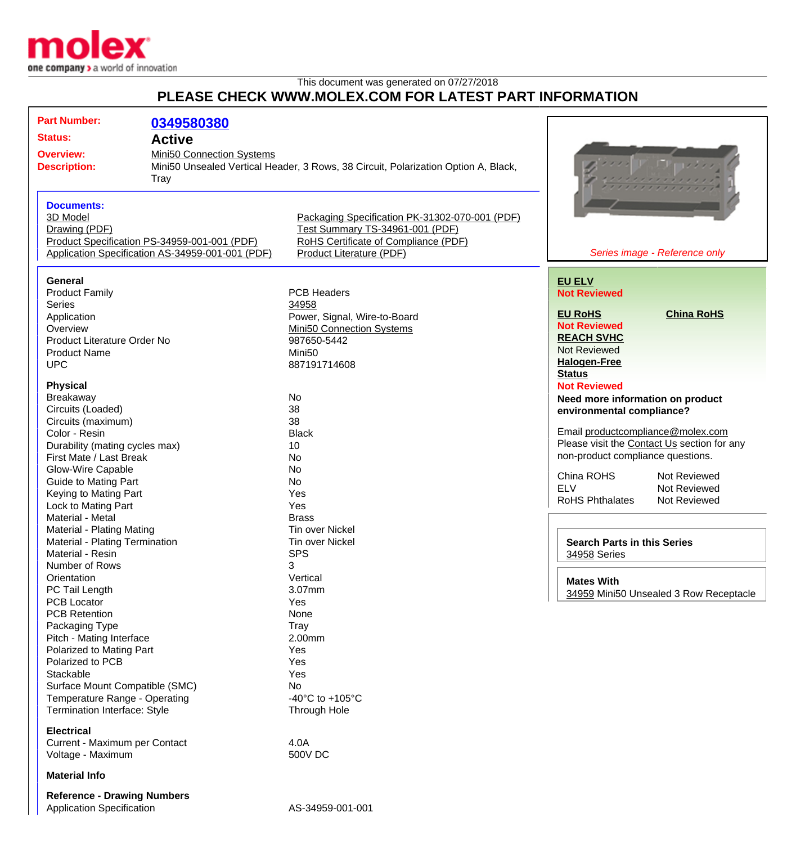

## This document was generated on 07/27/2018 **PLEASE CHECK WWW.MOLEX.COM FOR LATEST PART INFORMATION**

| <b>Part Number:</b>                | 0349580380                                       |                                                                                    |                                             |
|------------------------------------|--------------------------------------------------|------------------------------------------------------------------------------------|---------------------------------------------|
| <b>Status:</b>                     |                                                  |                                                                                    |                                             |
|                                    | <b>Active</b>                                    |                                                                                    |                                             |
| <b>Overview:</b>                   | Mini50 Connection Systems                        |                                                                                    |                                             |
| <b>Description:</b>                |                                                  | Mini50 Unsealed Vertical Header, 3 Rows, 38 Circuit, Polarization Option A, Black, |                                             |
|                                    | <b>Tray</b>                                      |                                                                                    |                                             |
|                                    |                                                  |                                                                                    |                                             |
| <b>Documents:</b>                  |                                                  |                                                                                    |                                             |
| 3D Model                           |                                                  | Packaging Specification PK-31302-070-001 (PDF)                                     |                                             |
| Drawing (PDF)                      |                                                  | Test Summary TS-34961-001 (PDF)                                                    |                                             |
|                                    | Product Specification PS-34959-001-001 (PDF)     | RoHS Certificate of Compliance (PDF)                                               |                                             |
|                                    | Application Specification AS-34959-001-001 (PDF) | Product Literature (PDF)                                                           | Series image - Reference only               |
|                                    |                                                  |                                                                                    |                                             |
| General                            |                                                  |                                                                                    | <b>EU ELV</b>                               |
| <b>Product Family</b>              |                                                  | <b>PCB Headers</b>                                                                 | <b>Not Reviewed</b>                         |
| <b>Series</b>                      |                                                  | 34958                                                                              |                                             |
| Application                        |                                                  | Power, Signal, Wire-to-Board                                                       | <b>EU RoHS</b><br><b>China RoHS</b>         |
| Overview                           |                                                  | Mini50 Connection Systems                                                          | <b>Not Reviewed</b>                         |
| Product Literature Order No        |                                                  | 987650-5442                                                                        | <b>REACH SVHC</b>                           |
| <b>Product Name</b>                |                                                  | Mini <sub>50</sub>                                                                 | <b>Not Reviewed</b>                         |
|                                    |                                                  |                                                                                    | <b>Halogen-Free</b>                         |
| <b>UPC</b>                         |                                                  | 887191714608                                                                       | <b>Status</b>                               |
| <b>Physical</b>                    |                                                  |                                                                                    | <b>Not Reviewed</b>                         |
| Breakaway                          |                                                  | No                                                                                 |                                             |
| Circuits (Loaded)                  |                                                  | 38                                                                                 | Need more information on product            |
| Circuits (maximum)                 |                                                  | 38                                                                                 | environmental compliance?                   |
| Color - Resin                      |                                                  | <b>Black</b>                                                                       | Email productcompliance@molex.com           |
|                                    |                                                  |                                                                                    | Please visit the Contact Us section for any |
| Durability (mating cycles max)     |                                                  | 10                                                                                 | non-product compliance questions.           |
| First Mate / Last Break            |                                                  | No                                                                                 |                                             |
| <b>Glow-Wire Capable</b>           |                                                  | No                                                                                 | China ROHS<br>Not Reviewed                  |
| <b>Guide to Mating Part</b>        |                                                  | No                                                                                 | <b>ELV</b><br>Not Reviewed                  |
| Keying to Mating Part              |                                                  | Yes                                                                                | <b>RoHS Phthalates</b><br>Not Reviewed      |
| Lock to Mating Part                |                                                  | Yes                                                                                |                                             |
| Material - Metal                   |                                                  | <b>Brass</b>                                                                       |                                             |
| Material - Plating Mating          |                                                  | <b>Tin over Nickel</b>                                                             |                                             |
| Material - Plating Termination     |                                                  | Tin over Nickel                                                                    | <b>Search Parts in this Series</b>          |
| Material - Resin                   |                                                  | <b>SPS</b>                                                                         | 34958 Series                                |
| Number of Rows                     |                                                  | 3                                                                                  |                                             |
| Orientation                        |                                                  | Vertical                                                                           | <b>Mates With</b>                           |
| PC Tail Length                     |                                                  | 3.07mm                                                                             | 34959 Mini50 Unsealed 3 Row Receptacle      |
| <b>PCB Locator</b>                 |                                                  | Yes                                                                                |                                             |
| <b>PCB Retention</b>               |                                                  | None                                                                               |                                             |
| Packaging Type                     |                                                  | Tray                                                                               |                                             |
| Pitch - Mating Interface           |                                                  | 2.00mm                                                                             |                                             |
| Polarized to Mating Part           |                                                  | Yes                                                                                |                                             |
| Polarized to PCB                   |                                                  | Yes                                                                                |                                             |
| Stackable                          |                                                  | Yes                                                                                |                                             |
| Surface Mount Compatible (SMC)     |                                                  | No                                                                                 |                                             |
| Temperature Range - Operating      |                                                  | -40 $^{\circ}$ C to +105 $^{\circ}$ C                                              |                                             |
| Termination Interface: Style       |                                                  | Through Hole                                                                       |                                             |
| <b>Electrical</b>                  |                                                  |                                                                                    |                                             |
| Current - Maximum per Contact      |                                                  | 4.0A                                                                               |                                             |
| Voltage - Maximum                  |                                                  | 500V DC                                                                            |                                             |
| <b>Material Info</b>               |                                                  |                                                                                    |                                             |
|                                    |                                                  |                                                                                    |                                             |
| <b>Reference - Drawing Numbers</b> |                                                  |                                                                                    |                                             |
| <b>Application Specification</b>   |                                                  | AS-34959-001-001                                                                   |                                             |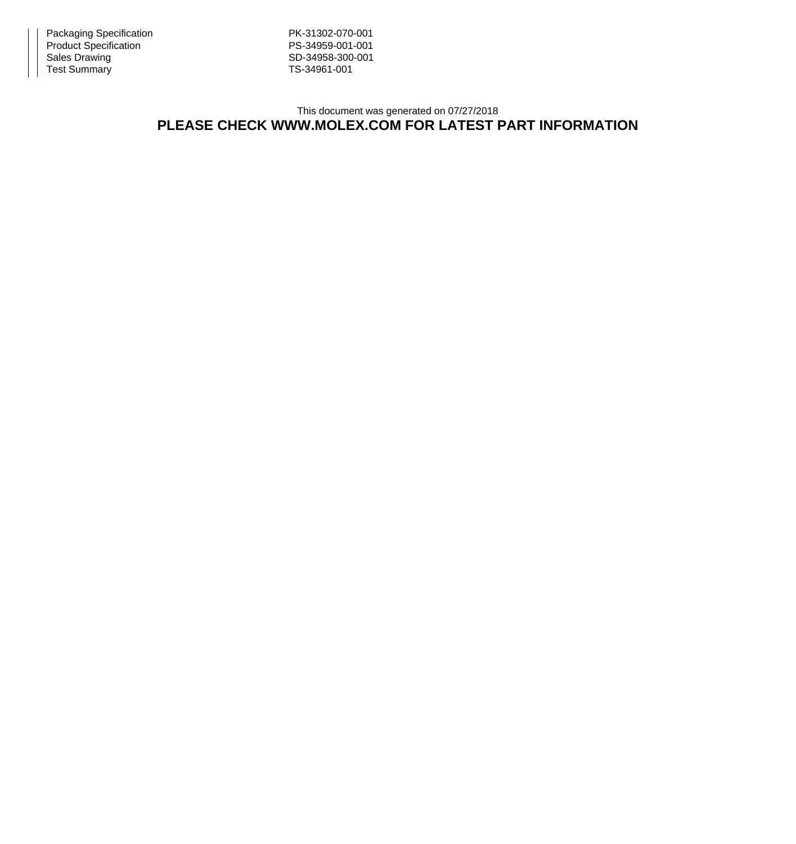Packaging Specification **PK-31302-070-001** Product Specification **PS-34959-001-001** Sales Drawing Sales Drawing SD-34958-300-001<br>Test Summary SD-34961-001 Test Summary

## This document was generated on 07/27/2018 **PLEASE CHECK WWW.MOLEX.COM FOR LATEST PART INFORMATION**